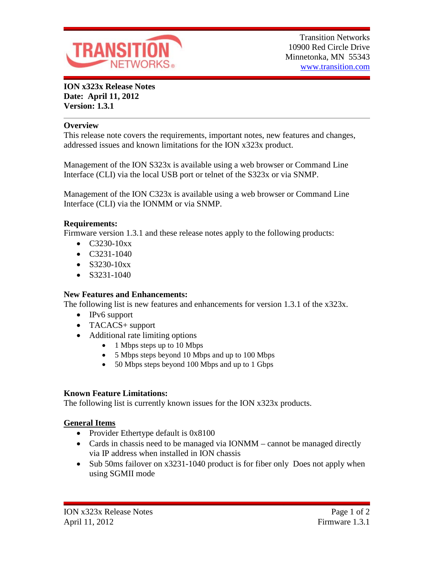

**ION x323x Release Notes Date: April 11, 2012 Version: 1.3.1**

## **Overview**

This release note covers the requirements, important notes, new features and changes, addressed issues and known limitations for the ION x323x product.

Management of the ION S323x is available using a web browser or Command Line Interface (CLI) via the local USB port or telnet of the S323x or via SNMP.

Management of the ION C323x is available using a web browser or Command Line Interface (CLI) via the IONMM or via SNMP.

### **Requirements:**

Firmware version 1.3.1 and these release notes apply to the following products:

- $C3230-10xx$
- C3231-1040
- $S3230-10xx$
- $\bullet$  S3231-1040

### **New Features and Enhancements:**

The following list is new features and enhancements for version 1.3.1 of the x323x.

- IPv6 support
- TACACS+ support
- Additional rate limiting options
	- 1 Mbps steps up to 10 Mbps
	- 5 Mbps steps beyond 10 Mbps and up to 100 Mbps
	- 50 Mbps steps beyond 100 Mbps and up to 1 Gbps

### **Known Feature Limitations:**

The following list is currently known issues for the ION x323x products.

### **General Items**

- Provider Ethertype default is 0x8100
- Cards in chassis need to be managed via IONMM cannot be managed directly via IP address when installed in ION chassis
- Sub 50ms failover on x3231-1040 product is for fiber only Does not apply when using SGMII mode